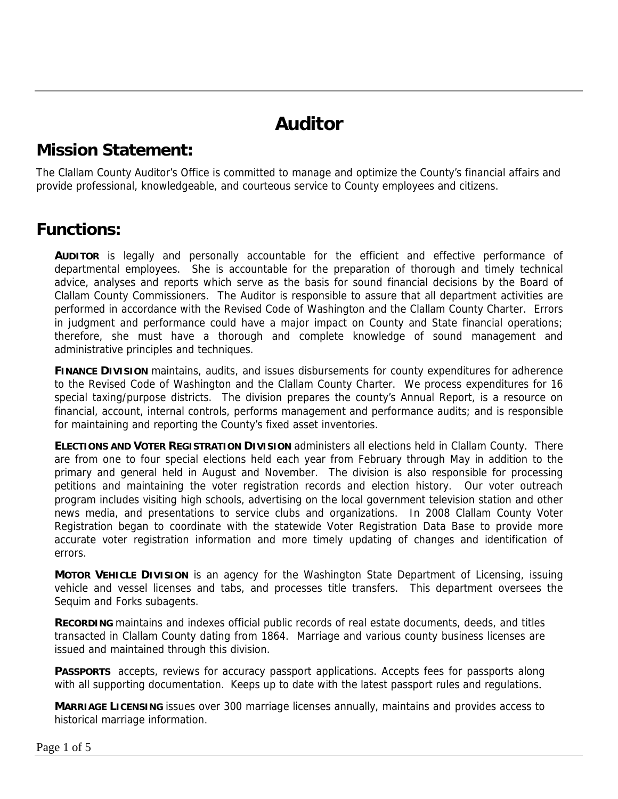# **Auditor**

### **Mission Statement:**

The Clallam County Auditor's Office is committed to manage and optimize the County's financial affairs and provide professional, knowledgeable, and courteous service to County employees and citizens.

#### **Functions:**

**AUDITOR** is legally and personally accountable for the efficient and effective performance of departmental employees. She is accountable for the preparation of thorough and timely technical advice, analyses and reports which serve as the basis for sound financial decisions by the Board of Clallam County Commissioners. The Auditor is responsible to assure that all department activities are performed in accordance with the Revised Code of Washington and the Clallam County Charter. Errors in judgment and performance could have a major impact on County and State financial operations; therefore, she must have a thorough and complete knowledge of sound management and administrative principles and techniques.

**FINANCE DIVISION** maintains, audits, and issues disbursements for county expenditures for adherence to the Revised Code of Washington and the Clallam County Charter. We process expenditures for 16 special taxing/purpose districts. The division prepares the county's Annual Report, is a resource on financial, account, internal controls, performs management and performance audits; and is responsible for maintaining and reporting the County's fixed asset inventories.

**ELECTIONS AND VOTER REGISTRATION DIVISION** administers all elections held in Clallam County. There are from one to four special elections held each year from February through May in addition to the primary and general held in August and November. The division is also responsible for processing petitions and maintaining the voter registration records and election history. Our voter outreach program includes visiting high schools, advertising on the local government television station and other news media, and presentations to service clubs and organizations. In 2008 Clallam County Voter Registration began to coordinate with the statewide Voter Registration Data Base to provide more accurate voter registration information and more timely updating of changes and identification of errors.

**MOTOR VEHICLE DIVISION** is an agency for the Washington State Department of Licensing, issuing vehicle and vessel licenses and tabs, and processes title transfers. This department oversees the Sequim and Forks subagents.

**RECORDING** maintains and indexes official public records of real estate documents, deeds, and titles transacted in Clallam County dating from 1864. Marriage and various county business licenses are issued and maintained through this division.

PASSPORTS accepts, reviews for accuracy passport applications. Accepts fees for passports along with all supporting documentation. Keeps up to date with the latest passport rules and regulations.

**MARRIAGE LICENSING** issues over 300 marriage licenses annually, maintains and provides access to historical marriage information.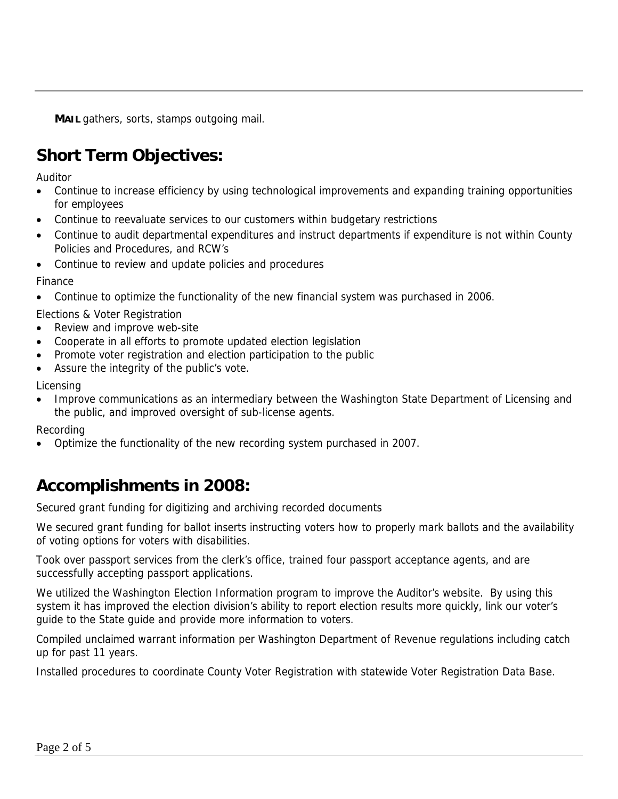**MAIL** gathers, sorts, stamps outgoing mail.

## **Short Term Objectives:**

Auditor

- Continue to increase efficiency by using technological improvements and expanding training opportunities for employees
- Continue to reevaluate services to our customers within budgetary restrictions
- Continue to audit departmental expenditures and instruct departments if expenditure is not within County Policies and Procedures, and RCW's
- Continue to review and update policies and procedures

Finance

- Continue to optimize the functionality of the new financial system was purchased in 2006.
- Elections & Voter Registration
- Review and improve web-site
- Cooperate in all efforts to promote updated election legislation
- Promote voter registration and election participation to the public
- Assure the integrity of the public's vote.

Licensing

• Improve communications as an intermediary between the Washington State Department of Licensing and the public, and improved oversight of sub-license agents.

Recording

• Optimize the functionality of the new recording system purchased in 2007.

## **Accomplishments in 2008:**

Secured grant funding for digitizing and archiving recorded documents

We secured grant funding for ballot inserts instructing voters how to properly mark ballots and the availability of voting options for voters with disabilities.

Took over passport services from the clerk's office, trained four passport acceptance agents, and are successfully accepting passport applications.

We utilized the Washington Election Information program to improve the Auditor's website. By using this system it has improved the election division's ability to report election results more quickly, link our voter's guide to the State guide and provide more information to voters.

Compiled unclaimed warrant information per Washington Department of Revenue regulations including catch up for past 11 years.

Installed procedures to coordinate County Voter Registration with statewide Voter Registration Data Base.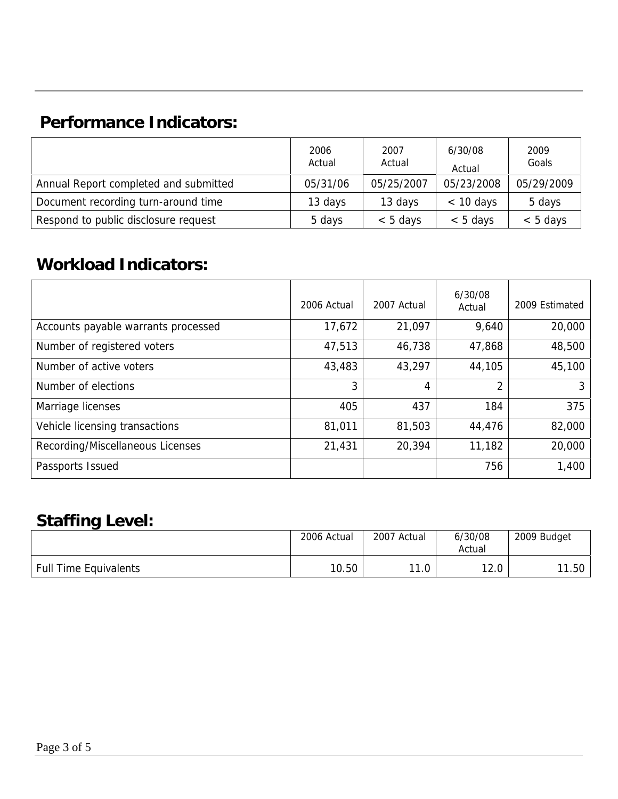## **Performance Indicators:**

|                                       | 2006<br>Actual | 2007<br>Actual | 6/30/08<br>Actual | 2009<br>Goals |
|---------------------------------------|----------------|----------------|-------------------|---------------|
| Annual Report completed and submitted | 05/31/06       | 05/25/2007     | 05/23/2008        | 05/29/2009    |
| Document recording turn-around time   | 13 days        | 13 days        | $< 10$ days       | 5 days        |
| Respond to public disclosure request  | 5 days         | $< 5$ days     | $< 5$ days        | $< 5$ days    |

## **Workload Indicators:**

|                                     | 2006 Actual | 2007 Actual | 6/30/08<br>Actual | 2009 Estimated |
|-------------------------------------|-------------|-------------|-------------------|----------------|
| Accounts payable warrants processed | 17,672      | 21,097      | 9,640             | 20,000         |
| Number of registered voters         | 47,513      | 46,738      | 47,868            | 48,500         |
| Number of active voters             | 43,483      | 43,297      | 44,105            | 45,100         |
| Number of elections                 | 3           | 4           | 2                 | 3              |
| Marriage licenses                   | 405         | 437         | 184               | 375            |
| Vehicle licensing transactions      | 81,011      | 81,503      | 44,476            | 82,000         |
| Recording/Miscellaneous Licenses    | 21,431      | 20,394      | 11,182            | 20,000         |
| Passports Issued                    |             |             | 756               | 1,400          |

### **Staffing Level:**

|                              | 2006 Actual | 2007 Actual | 6/30/08<br>Actual | 2009 Budget |
|------------------------------|-------------|-------------|-------------------|-------------|
| <b>Full Time Equivalents</b> | 10.50       | 11.0        | 12.0              | 11.50       |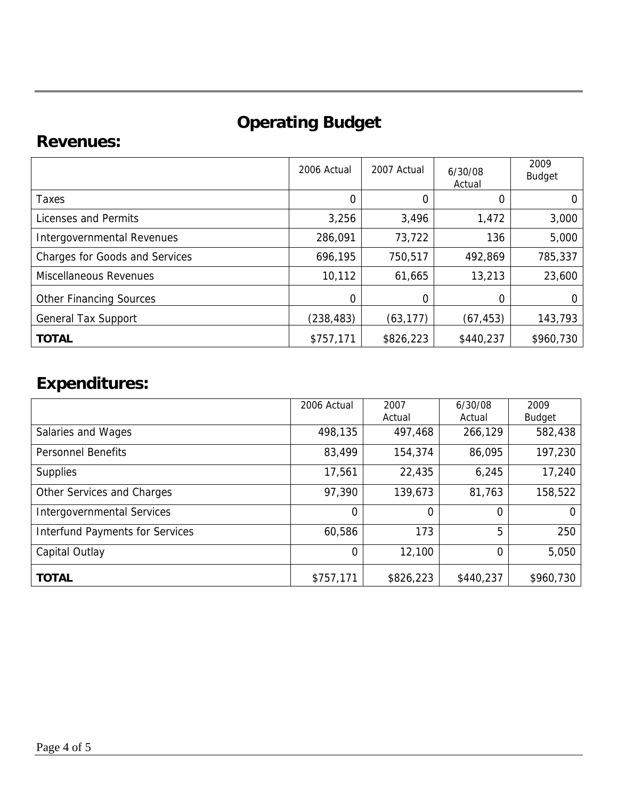# **Operating Budget**

### **Revenues:**

|                                       | 2006 Actual | 2007 Actual | 6/30/08<br>Actual | 2009<br><b>Budget</b> |
|---------------------------------------|-------------|-------------|-------------------|-----------------------|
| Taxes                                 | 0           | 0           | 0                 | 0                     |
| Licenses and Permits                  | 3,256       | 3,496       | 1,472             | 3,000                 |
| Intergovernmental Revenues            | 286,091     | 73,722      | 136               | 5,000                 |
| <b>Charges for Goods and Services</b> | 696,195     | 750,517     | 492,869           | 785,337               |
| <b>Miscellaneous Revenues</b>         | 10,112      | 61,665      | 13,213            | 23,600                |
| <b>Other Financing Sources</b>        | 0           | 0           |                   | 0                     |
| <b>General Tax Support</b>            | (238,483)   | (63, 177)   | (67, 453)         | 143,793               |
| <b>TOTAL</b>                          | \$757,171   | \$826,223   | \$440,237         | \$960,730             |

# **Expenditures:**

|                                        | 2006 Actual | 2007      | 6/30/08   | 2009          |
|----------------------------------------|-------------|-----------|-----------|---------------|
|                                        |             | Actual    | Actual    | <b>Budget</b> |
| Salaries and Wages                     | 498,135     | 497,468   | 266,129   | 582,438       |
| <b>Personnel Benefits</b>              | 83,499      | 154,374   | 86,095    | 197,230       |
| <b>Supplies</b>                        | 17,561      | 22,435    | 6,245     | 17,240        |
| Other Services and Charges             | 97,390      | 139,673   | 81,763    | 158,522       |
| <b>Intergovernmental Services</b>      | 0           | 0         | 0         |               |
| <b>Interfund Payments for Services</b> | 60,586      | 173       | 5         | 250           |
| Capital Outlay                         | $\mathbf 0$ | 12,100    | 0         | 5,050         |
| <b>TOTAL</b>                           | \$757,171   | \$826,223 | \$440,237 | \$960,730     |